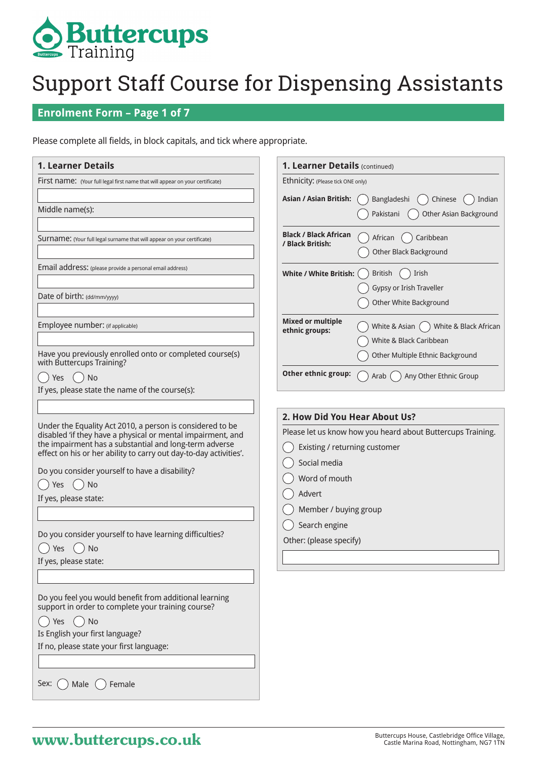

#### **Enrolment Form – Page 1 of 7**

Please complete all fields, in block capitals, and tick where appropriate.

| <b>1. Learner Details</b>                                                                                                                                                                                                                                                                                                                                                                                                                               | 1. Learner Details (continued)                                                                                                                                                                                                                |
|---------------------------------------------------------------------------------------------------------------------------------------------------------------------------------------------------------------------------------------------------------------------------------------------------------------------------------------------------------------------------------------------------------------------------------------------------------|-----------------------------------------------------------------------------------------------------------------------------------------------------------------------------------------------------------------------------------------------|
| <b>FIFSt name:</b> (Your full legal first name that will appear on your certificate)                                                                                                                                                                                                                                                                                                                                                                    | Ethnicity: (Please tick ONE only)                                                                                                                                                                                                             |
| Middle name(s):                                                                                                                                                                                                                                                                                                                                                                                                                                         | <b>Asian / Asian British:</b><br>Bangladeshi<br>Chinese<br>Indian<br>Other Asian Background<br>Pakistani                                                                                                                                      |
| <b>SUIT THE:</b> (Your full legal surname that will appear on your certificate)                                                                                                                                                                                                                                                                                                                                                                         | <b>Black / Black African</b><br>African<br>Caribbean<br>/ Black British:<br>Other Black Background                                                                                                                                            |
| Email address: (please provide a personal email address)                                                                                                                                                                                                                                                                                                                                                                                                | White / White British:<br>Irish<br>British<br>Gypsy or Irish Traveller                                                                                                                                                                        |
| Date of birth: (dd/mm/yyyy)                                                                                                                                                                                                                                                                                                                                                                                                                             | Other White Background                                                                                                                                                                                                                        |
| Employee number: (if applicable)<br>Have you previously enrolled onto or completed course(s)                                                                                                                                                                                                                                                                                                                                                            | <b>Mixed or multiple</b><br>White & Black African<br>White & Asian (<br>ethnic groups:<br>White & Black Caribbean<br>Other Multiple Ethnic Background                                                                                         |
| with Buttercups Training?<br>Yes<br>$()$ No<br>If yes, please state the name of the course(s):                                                                                                                                                                                                                                                                                                                                                          | Other ethnic group:<br>Any Other Ethnic Group<br>Arab (                                                                                                                                                                                       |
| Under the Equality Act 2010, a person is considered to be<br>disabled 'if they have a physical or mental impairment, and<br>the impairment has a substantial and long-term adverse<br>effect on his or her ability to carry out day-to-day activities'.<br>Do you consider yourself to have a disability?<br>No<br>Yes<br>If yes, please state:<br>Do you consider yourself to have learning difficulties?<br><b>No</b><br>Yes<br>If yes, please state: | 2. How Did You Hear About Us?<br>Please let us know how you heard about Buttercups Training.<br>Existing / returning customer<br>Social media<br>Word of mouth<br>Advert<br>Member / buying group<br>Search engine<br>Other: (please specify) |
| Do you feel you would benefit from additional learning<br>support in order to complete your training course?<br>No<br><b>Yes</b><br>Is English your first language?<br>If no, please state your first language:<br>Sex:<br>Female<br>Male                                                                                                                                                                                                               |                                                                                                                                                                                                                                               |

## **Buttercups House, Castlebridge Office Village,** Buttercups House, Castlebridge Office Village, Castle Marina Road, Nottingham, NG7 1TN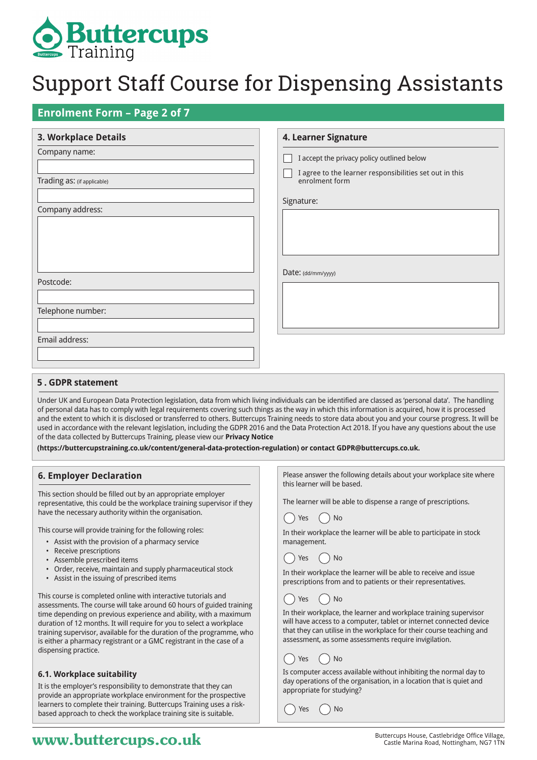

**4. Learner Signature**

#### **Enrolment Form – Page 2 of 7**

#### **3. Workplace Details**

|                             | <u> = -       .</u>                                                       |
|-----------------------------|---------------------------------------------------------------------------|
| Company name:               | I accept the privacy policy outlined below                                |
| Trading as: (if applicable) | I agree to the learner responsibilities set out in this<br>enrolment form |
| Company address:            | Signature:                                                                |
|                             |                                                                           |
|                             |                                                                           |
|                             | Date: (dd/mm/yyyy)                                                        |
| Postcode:                   |                                                                           |
| Telephone number:           |                                                                           |
|                             |                                                                           |
| Email address:              |                                                                           |
|                             |                                                                           |

#### **5 . GDPR statement**

Under UK and European Data Protection legislation, data from which living individuals can be identified are classed as 'personal data'. The handling of personal data has to comply with legal requirements covering such things as the way in which this information is acquired, how it is processed and the extent to which it is disclosed or transferred to others. Buttercups Training needs to store data about you and your course progress. It will be used in accordance with the relevant legislation, including the GDPR 2016 and the Data Protection Act 2018. If you have any questions about the use of the data collected by Buttercups Training, please view our **Privacy Notice** 

**(https://buttercupstraining.co.uk/content/general-data-protection-regulation) or contact GDPR@buttercups.co.uk.**

#### **6. Employer Declaration**

This section should be filled out by an appropriate employer representative, this could be the workplace training supervisor if they have the necessary authority within the organisation.

This course will provide training for the following roles:

- Assist with the provision of a pharmacy service
- Receive prescriptions
- Assemble prescribed items
- Order, receive, maintain and supply pharmaceutical stock
- Assist in the issuing of prescribed items

This course is completed online with interactive tutorials and assessments. The course will take around 60 hours of guided training time depending on previous experience and ability, with a maximum duration of 12 months. It will require for you to select a workplace training supervisor, available for the duration of the programme, who is either a pharmacy registrant or a GMC registrant in the case of a dispensing practice.

#### **6.1. Workplace suitability**

It is the employer's responsibility to demonstrate that they can provide an appropriate workplace environment for the prospective learners to complete their training. Buttercups Training uses a riskbased approach to check the workplace training site is suitable.

Please answer the following details about your workplace site where this learner will be based.

The learner will be able to dispense a range of prescriptions.

## $\bigcap$  Yes  $\bigcap$  No

In their workplace the learner will be able to participate in stock management.

## $() Yes () No$

In their workplace the learner will be able to receive and issue prescriptions from and to patients or their representatives.

### Yes ( ) No

In their workplace, the learner and workplace training supervisor will have access to a computer, tablet or internet connected device that they can utilise in the workplace for their course teaching and assessment, as some assessments require invigilation.

## $()$  Yes  $()$  No

Is computer access available without inhibiting the normal day to day operations of the organisation, in a location that is quiet and appropriate for studying?

 $\gamma$  Yes  $\bigcap$  No

## **WWW.buttercups.co.uk** Buttercups House, Castlebridge Office Village, **WWW.butterCupS.co.uk** Castle Marina Road, Nottingham, NG7 1TN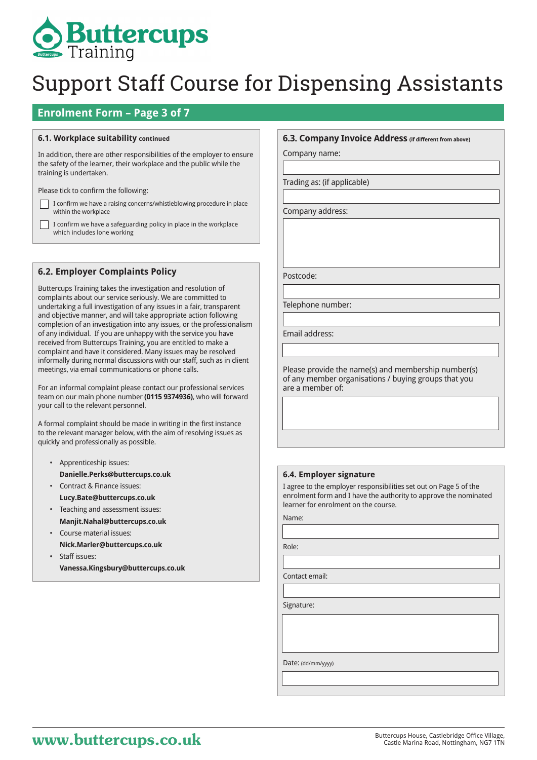

#### **Enrolment Form – Page 3 of 7**

#### **6.1. Workplace suitability continued**

In addition, there are other responsibilities of the employer to ensure the safety of the learner, their workplace and the public while the training is undertaken.

Please tick to confirm the following:

Г

I confirm we have a raising concerns/whistleblowing procedure in place within the workplace

I confirm we have a safeguarding policy in place in the workplace which includes lone working

#### **6.2. Employer Complaints Policy**

Buttercups Training takes the investigation and resolution of complaints about our service seriously. We are committed to undertaking a full investigation of any issues in a fair, transparent and objective manner, and will take appropriate action following completion of an investigation into any issues, or the professionalism of any individual. If you are unhappy with the service you have received from Buttercups Training, you are entitled to make a complaint and have it considered. Many issues may be resolved informally during normal discussions with our staff, such as in client meetings, via email communications or phone calls.

For an informal complaint please contact our professional services team on our main phone number **(0115 9374936)**, who will forward your call to the relevant personnel.

A formal complaint should be made in writing in the first instance to the relevant manager below, with the aim of resolving issues as quickly and professionally as possible.

- Apprenticeship issues: **Danielle.Perks@buttercups.co.uk**
- Contract & Finance issues: **Lucy.Bate@buttercups.co.uk**
- Teaching and assessment issues: **Manjit.Nahal@buttercups.co.uk**
- Course material issues: **Nick.Marler@buttercups.co.uk**
- Staff issues: **Vanessa.Kingsbury@buttercups.co.uk**

#### **6.3. Company Invoice Address (if different from above)**

Company name:

Trading as: (if applicable)

Company address:

Postcode:

Telephone number:

Email address:

Please provide the name(s) and membership number(s) of any member organisations / buying groups that you are a member of:

#### **6.4. Employer signature**

I agree to the employer responsibilities set out on Page 5 of the enrolment form and I have the authority to approve the nominated learner for enrolment on the course.

Name:

Role:

Contact email:

Signature:

Date: (dd/mm/yyyy)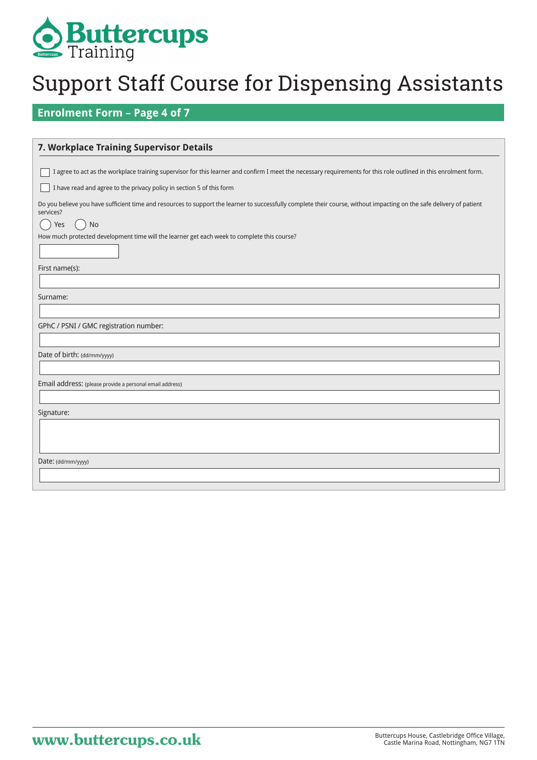

### **Enrolment Form – Page 4 of 7**

| 7. Workplace Training Supervisor Details                                                                                                                                                        |
|-------------------------------------------------------------------------------------------------------------------------------------------------------------------------------------------------|
| I agree to act as the workplace training supervisor for this learner and confirm I meet the necessary requirements for this role outlined in this enrolment form.                               |
| I have read and agree to the privacy policy in section 5 of this form                                                                                                                           |
| Do you believe you have sufficient time and resources to support the learner to successfully complete their course, without impacting on the safe delivery of patient<br>services?<br>No<br>Yes |
| How much protected development time will the learner get each week to complete this course?                                                                                                     |
| First name(s):                                                                                                                                                                                  |
| Surname:                                                                                                                                                                                        |
| GPhC / PSNI / GMC registration number:                                                                                                                                                          |
| Date of birth: (dd/mm/yyyy)                                                                                                                                                                     |
| Email address: (please provide a personal email address)                                                                                                                                        |
| Signature:                                                                                                                                                                                      |
|                                                                                                                                                                                                 |
| Date: (dd/mm/yyyy)                                                                                                                                                                              |
|                                                                                                                                                                                                 |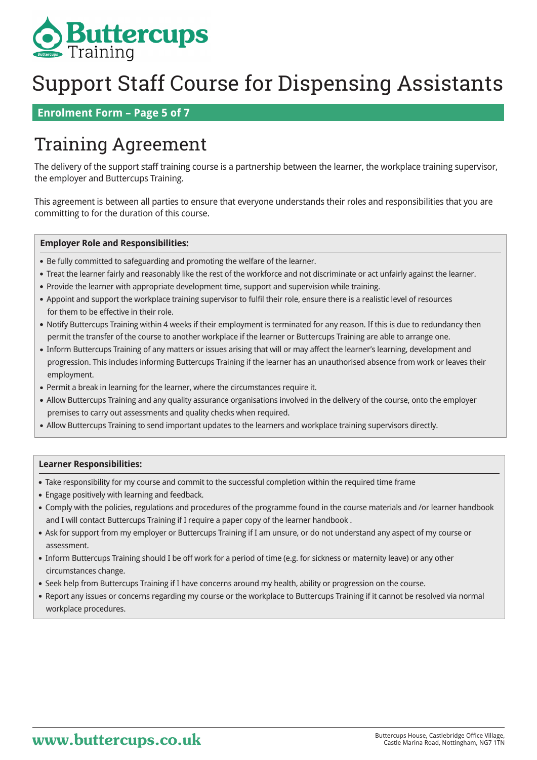

 **Enrolment Form – Page 5 of 7**

## Training Agreement

The delivery of the support staff training course is a partnership between the learner, the workplace training supervisor, the employer and Buttercups Training.

This agreement is between all parties to ensure that everyone understands their roles and responsibilities that you are committing to for the duration of this course.

#### **Employer Role and Responsibilities:**

- Be fully committed to safeguarding and promoting the welfare of the learner.
- Treat the learner fairly and reasonably like the rest of the workforce and not discriminate or act unfairly against the learner.
- Provide the learner with appropriate development time, support and supervision while training.
- Appoint and support the workplace training supervisor to fulfil their role, ensure there is a realistic level of resources for them to be effective in their role.
- Notify Buttercups Training within 4 weeks if their employment is terminated for any reason. If this is due to redundancy then permit the transfer of the course to another workplace if the learner or Buttercups Training are able to arrange one.
- Inform Buttercups Training of any matters or issues arising that will or may affect the learner's learning, development and progression. This includes informing Buttercups Training if the learner has an unauthorised absence from work or leaves their employment.
- Permit a break in learning for the learner, where the circumstances require it.
- Allow Buttercups Training and any quality assurance organisations involved in the delivery of the course, onto the employer premises to carry out assessments and quality checks when required.
- Allow Buttercups Training to send important updates to the learners and workplace training supervisors directly.

#### **Learner Responsibilities:**

- Take responsibility for my course and commit to the successful completion within the required time frame
- Engage positively with learning and feedback.
- Comply with the policies, regulations and procedures of the programme found in the course materials and /or learner handbook and I will contact Buttercups Training if I require a paper copy of the learner handbook .
- Ask for support from my employer or Buttercups Training if I am unsure, or do not understand any aspect of my course or assessment.
- Inform Buttercups Training should I be off work for a period of time (e.g. for sickness or maternity leave) or any other circumstances change.
- Seek help from Buttercups Training if I have concerns around my health, ability or progression on the course.
- Report any issues or concerns regarding my course or the workplace to Buttercups Training if it cannot be resolved via normal workplace procedures.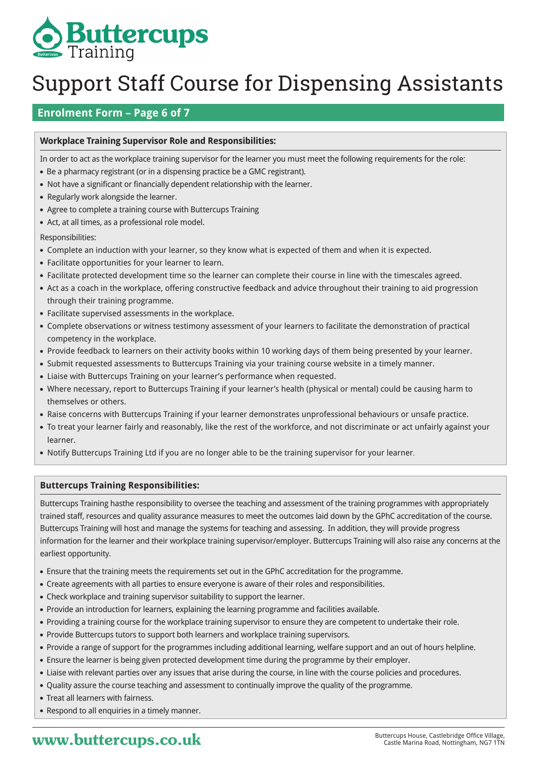

### **Enrolment Form – Page 6 of 7**

#### **Workplace Training Supervisor Role and Responsibilities:**

In order to act as the workplace training supervisor for the learner you must meet the following requirements for the role:

- Be a pharmacy registrant (or in a dispensing practice be a GMC registrant).
- Not have a significant or financially dependent relationship with the learner.
- Regularly work alongside the learner.
- Agree to complete a training course with Buttercups Training
- Act, at all times, as a professional role model.
- Responsibilities:
- Complete an induction with your learner, so they know what is expected of them and when it is expected.
- Facilitate opportunities for your learner to learn.
- Facilitate protected development time so the learner can complete their course in line with the timescales agreed.
- Act as a coach in the workplace, offering constructive feedback and advice throughout their training to aid progression through their training programme.
- Facilitate supervised assessments in the workplace.
- Complete observations or witness testimony assessment of your learners to facilitate the demonstration of practical competency in the workplace.
- Provide feedback to learners on their activity books within 10 working days of them being presented by your learner.
- Submit requested assessments to Buttercups Training via your training course website in a timely manner.
- Liaise with Buttercups Training on your learner's performance when requested.
- Where necessary, report to Buttercups Training if your learner's health (physical or mental) could be causing harm to themselves or others.
- Raise concerns with Buttercups Training if your learner demonstrates unprofessional behaviours or unsafe practice.
- To treat your learner fairly and reasonably, like the rest of the workforce, and not discriminate or act unfairly against your learner.
- Notify Buttercups Training Ltd if you are no longer able to be the training supervisor for your learner.

#### **Buttercups Training Responsibilities:**

Buttercups Training hasthe responsibility to oversee the teaching and assessment of the training programmes with appropriately trained staff, resources and quality assurance measures to meet the outcomes laid down by the GPhC accreditation of the course. Buttercups Training will host and manage the systems for teaching and assessing. In addition, they will provide progress information for the learner and their workplace training supervisor/employer. Buttercups Training will also raise any concerns at the earliest opportunity.

- Ensure that the training meets the requirements set out in the GPhC accreditation for the programme.
- Create agreements with all parties to ensure everyone is aware of their roles and responsibilities.
- Check workplace and training supervisor suitability to support the learner.
- Provide an introduction for learners, explaining the learning programme and facilities available.
- Providing a training course for the workplace training supervisor to ensure they are competent to undertake their role.
- Provide Buttercups tutors to support both learners and workplace training supervisors.
- Provide a range of support for the programmes including additional learning, welfare support and an out of hours helpline.
- Ensure the learner is being given protected development time during the programme by their employer.
- Liaise with relevant parties over any issues that arise during the course, in line with the course policies and procedures.
- Quality assure the course teaching and assessment to continually improve the quality of the programme.
- Treat all learners with fairness.
- Respond to all enquiries in a timely manner.

## **WWW.buttercups.co.uk** Buttercups House, Castlebridge Office Village,